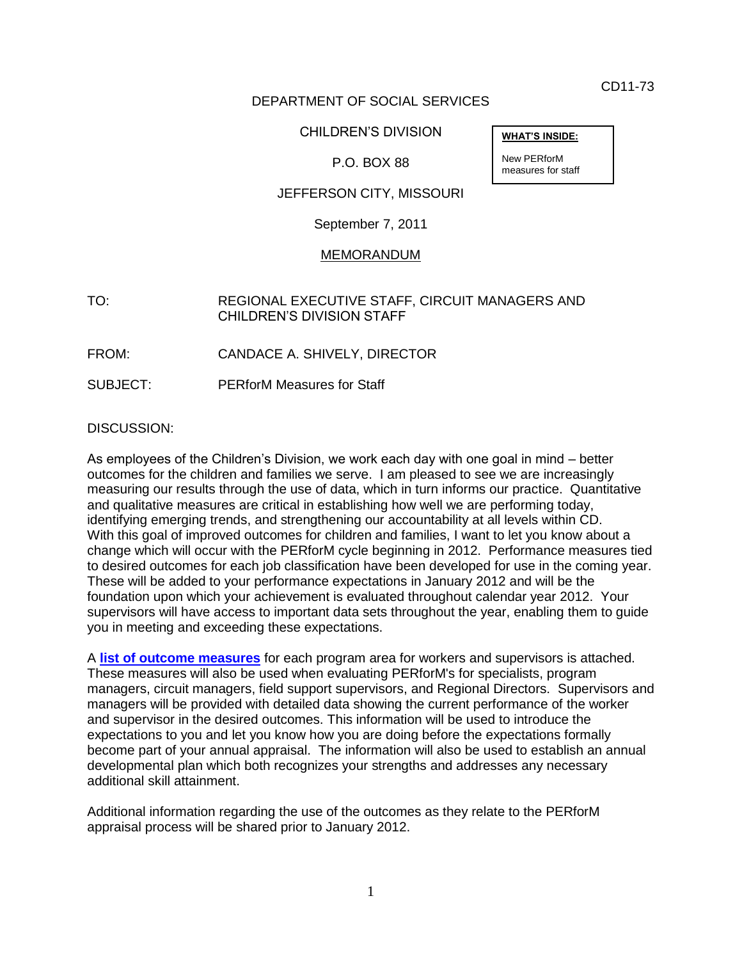CD11-73

**WHAT'S INSIDE:**

New PERforM measures for staff

# DEPARTMENT OF SOCIAL SERVICES

## CHILDREN'S DIVISION

# P.O. BOX 88

### JEFFERSON CITY, MISSOURI

September 7, 2011

#### MEMORANDUM

## TO: REGIONAL EXECUTIVE STAFF, CIRCUIT MANAGERS AND CHILDREN'S DIVISION STAFF

- FROM: CANDACE A. SHIVELY, DIRECTOR
- SUBJECT: PERforM Measures for Staff

#### DISCUSSION:

As employees of the Children's Division, we work each day with one goal in mind – better outcomes for the children and families we serve. I am pleased to see we are increasingly measuring our results through the use of data, which in turn informs our practice. Quantitative and qualitative measures are critical in establishing how well we are performing today, identifying emerging trends, and strengthening our accountability at all levels within CD. With this goal of improved outcomes for children and families, I want to let you know about a change which will occur with the PERforM cycle beginning in 2012. Performance measures tied to desired outcomes for each job classification have been developed for use in the coming year. These will be added to your performance expectations in January 2012 and will be the foundation upon which your achievement is evaluated throughout calendar year 2012. Your supervisors will have access to important data sets throughout the year, enabling them to guide you in meeting and exceeding these expectations.

A **[list of outcome measures](cd11-073_att.pdf)** for each program area for workers and supervisors is attached. These measures will also be used when evaluating PERforM's for specialists, program managers, circuit managers, field support supervisors, and Regional Directors. Supervisors and managers will be provided with detailed data showing the current performance of the worker and supervisor in the desired outcomes. This information will be used to introduce the expectations to you and let you know how you are doing before the expectations formally become part of your annual appraisal. The information will also be used to establish an annual developmental plan which both recognizes your strengths and addresses any necessary additional skill attainment.

Additional information regarding the use of the outcomes as they relate to the PERforM appraisal process will be shared prior to January 2012.